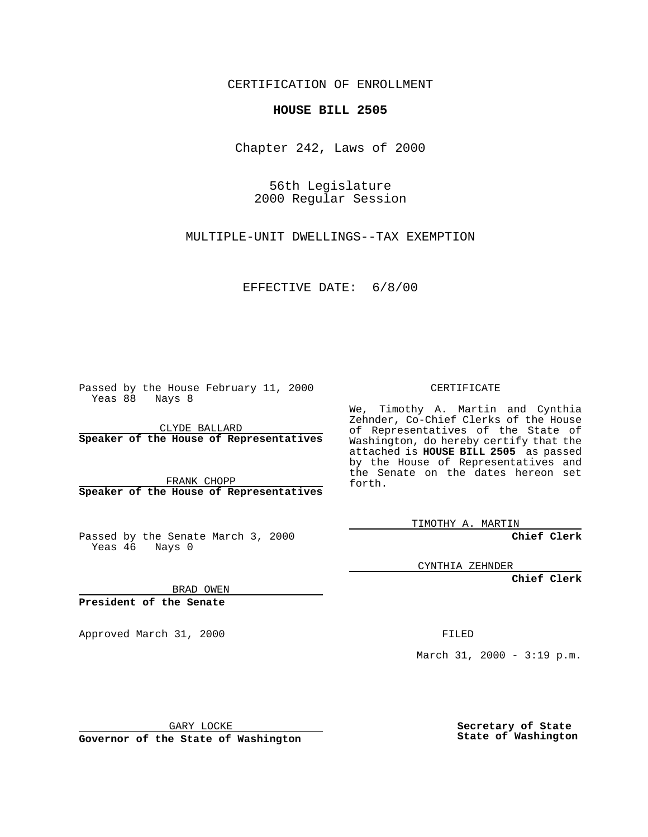CERTIFICATION OF ENROLLMENT

## **HOUSE BILL 2505**

Chapter 242, Laws of 2000

56th Legislature 2000 Regular Session

MULTIPLE-UNIT DWELLINGS--TAX EXEMPTION

## EFFECTIVE DATE: 6/8/00

Passed by the House February 11, 2000 Yeas 88 Nays 8

CLYDE BALLARD **Speaker of the House of Representatives**

FRANK CHOPP **Speaker of the House of Representatives**

Passed by the Senate March 3, 2000 Yeas 46 Nays 0

CERTIFICATE

We, Timothy A. Martin and Cynthia Zehnder, Co-Chief Clerks of the House of Representatives of the State of Washington, do hereby certify that the attached is **HOUSE BILL 2505** as passed by the House of Representatives and the Senate on the dates hereon set forth.

TIMOTHY A. MARTIN

**Chief Clerk**

CYNTHIA ZEHNDER

**Chief Clerk**

BRAD OWEN

**President of the Senate**

Approved March 31, 2000 FILED

March 31, 2000 - 3:19 p.m.

GARY LOCKE

**Governor of the State of Washington**

**Secretary of State State of Washington**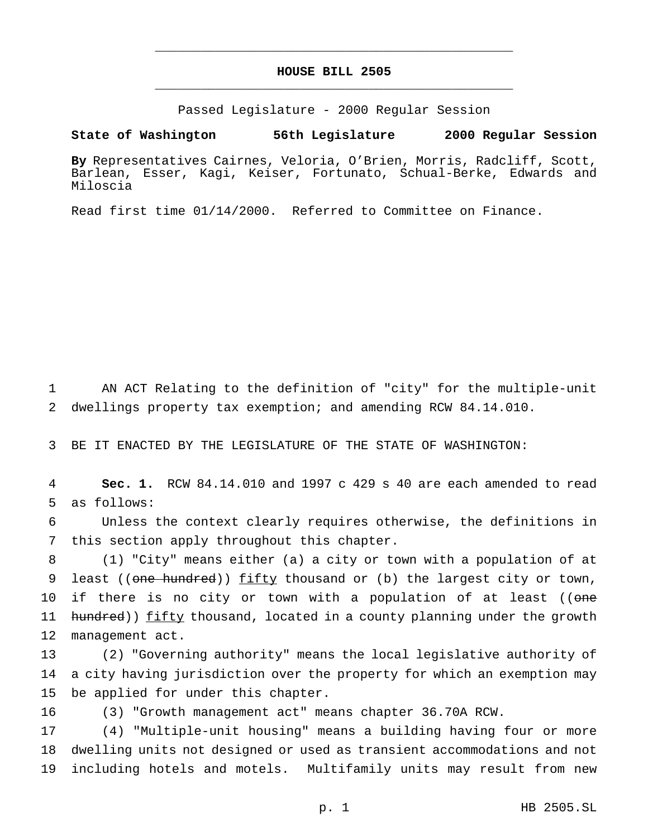## **HOUSE BILL 2505** \_\_\_\_\_\_\_\_\_\_\_\_\_\_\_\_\_\_\_\_\_\_\_\_\_\_\_\_\_\_\_\_\_\_\_\_\_\_\_\_\_\_\_\_\_\_\_

\_\_\_\_\_\_\_\_\_\_\_\_\_\_\_\_\_\_\_\_\_\_\_\_\_\_\_\_\_\_\_\_\_\_\_\_\_\_\_\_\_\_\_\_\_\_\_

Passed Legislature - 2000 Regular Session

**State of Washington 56th Legislature 2000 Regular Session**

**By** Representatives Cairnes, Veloria, O'Brien, Morris, Radcliff, Scott, Barlean, Esser, Kagi, Keiser, Fortunato, Schual-Berke, Edwards and Miloscia

Read first time 01/14/2000. Referred to Committee on Finance.

1 AN ACT Relating to the definition of "city" for the multiple-unit 2 dwellings property tax exemption; and amending RCW 84.14.010.

3 BE IT ENACTED BY THE LEGISLATURE OF THE STATE OF WASHINGTON:

4 **Sec. 1.** RCW 84.14.010 and 1997 c 429 s 40 are each amended to read 5 as follows:

6 Unless the context clearly requires otherwise, the definitions in 7 this section apply throughout this chapter.

8 (1) "City" means either (a) a city or town with a population of at 9 least ((one hundred)) fifty thousand or (b) the largest city or town, 10 if there is no city or town with a population of at least ((one 11 hundred)) fifty thousand, located in a county planning under the growth 12 management act.

13 (2) "Governing authority" means the local legislative authority of 14 a city having jurisdiction over the property for which an exemption may 15 be applied for under this chapter.

16 (3) "Growth management act" means chapter 36.70A RCW.

17 (4) "Multiple-unit housing" means a building having four or more 18 dwelling units not designed or used as transient accommodations and not 19 including hotels and motels. Multifamily units may result from new